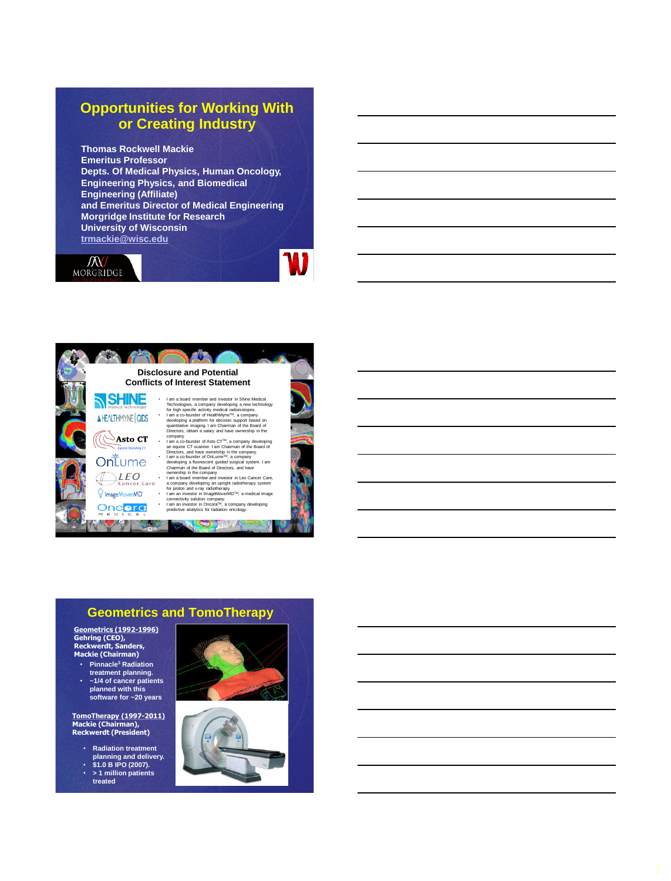#### **Opportunities for Working With or Creating Industry**

**Thomas Rockwell Mackie Emeritus Professor Depts. Of Medical Physics, Human Oncology, Engineering Physics, and Biomedical Engineering (Affiliate) and Emeritus Director of Medical Engineering Morgridge Institute for Research University of Wisconsin [trmackie@wisc.edu](mailto:trmackie@wisc.edu)**





#### **Geometrics and TomoTherapy**

**Geometrics (1992 -1996) Gehring (CEO), Reckwerdt, Sanders, Mackie (Chairman)**

- **treatment planning.**
- **Mackie Radiation**<br>
treatment planning.<br>
1/4 of cancer patier<br>
planned with this<br>
software for -20 yea<br> **TomoTherapy (1997-20:**<br> **Mackie (Chairman),<br>
Reckwerdt (President)** • **~1/4 of cancer patients planned with this software for ~20 years**

**TomoTherapy (1997 -2011 )**

- **Radiation treatment**
- **planning and delivery. \$1.0 B IPO (2007).**
- **> 1 million patients**
- **treated**



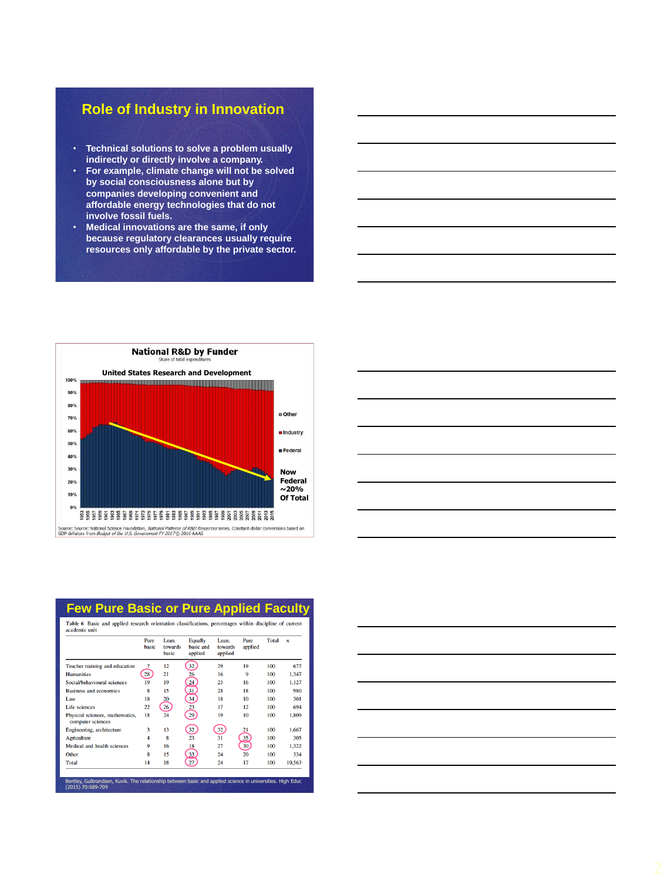# **Role of Industry in Innovation**

- **Technical solutions to solve a problem usually indirectly or directly involve a company.**
- **For example, climate change will not be solved by social consciousness alone but by companies developing convenient and affordable energy technologies that do not involve fossil fuels.**
- **Medical innovations are the same, if only because regulatory clearances usually require resources only affordable by the private sector.**





| Table 6 Basic and applied research orientation classifications, percentages within discipline of current<br>academic unit |                |                           |                                        |                             |                 |       |                          |
|---------------------------------------------------------------------------------------------------------------------------|----------------|---------------------------|----------------------------------------|-----------------------------|-----------------|-------|--------------------------|
|                                                                                                                           | Pure<br>hasic  | Lean.<br>towards<br>hasic | <b>Equally</b><br>basic and<br>applied | Lean.<br>towards<br>applied | Pure<br>applied | Total | $\overline{\phantom{a}}$ |
| Teacher training and education                                                                                            |                | 12                        | 32                                     | 29                          | 19              | 100   | 677                      |
| <b>Humanities</b>                                                                                                         | 28             | 21                        | 26                                     | 16                          | 9               | 100   | 1.347                    |
| Social/behavioural sciences                                                                                               | 19             | 19                        | $\stackrel{24}{\leq}$                  | 23                          | 16              | 100   | 1,127                    |
| <b>Business and economics</b>                                                                                             | 8              | 15                        | 31                                     | 28                          | 18              | 100   | 980                      |
| Law                                                                                                                       | 18             | 20                        | 34                                     | 18                          | 10              | 100   | 301                      |
| Life sciences                                                                                                             | 22             | 26                        | 23                                     | 17                          | 12              | 100   | 694                      |
| Physical sciences, mathematics,<br>computer sciences                                                                      | 18             | 24                        | 29                                     | 19                          | 10              | 100   | 1.809                    |
| Engineering, architecture                                                                                                 | 3              | 13                        | 32                                     | 32                          | 21              | 100   | 1.667                    |
| Agriculture                                                                                                               | $\overline{4}$ | 8                         | 23                                     | 31                          | 35              | 100   | 305                      |
| Medical and health sciences                                                                                               | ٥              | 16                        | 18                                     | 27                          | 30 <sup>2</sup> | 100   | 1.322                    |
| Other                                                                                                                     | 8              | 15                        | 33                                     | 24                          | 20              | 100   | 334                      |
| <b>Total</b>                                                                                                              | 14             | 18                        | 27                                     | 24                          | 17              | 100   | 10.563                   |

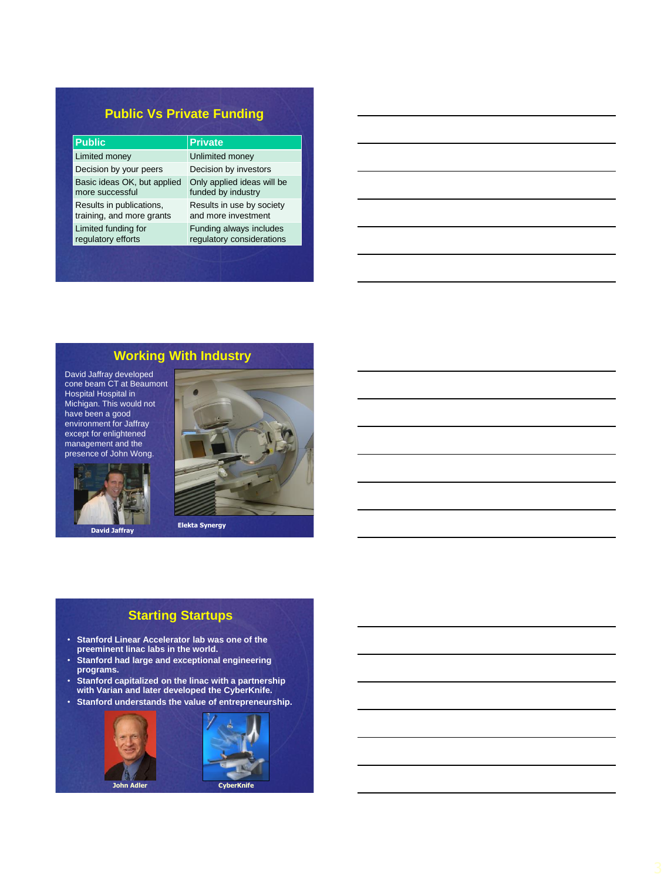## **Public Vs Private Funding**

| <b>Public</b>               | <b>Private</b>             |
|-----------------------------|----------------------------|
| Limited money               | Unlimited money            |
| Decision by your peers      | Decision by investors      |
| Basic ideas OK, but applied | Only applied ideas will be |
| more successful             | funded by industry         |
| Results in publications,    | Results in use by society  |
| training, and more grants   | and more investment        |
| Limited funding for         | Funding always includes    |
| regulatory efforts          | regulatory considerations  |

## **Working With Industry**

David Jaffray developed cone beam CT at Beaumont Hospital Hospital in Michigan. This would not have been a good environment for Jaffray except for enlightened management and the presence of John Wong.



**David Jaffray**



## **Starting Startups**

- **Stanford Linear Accelerator lab was one of the preeminent linac labs in the world.**
- **Stanford had large and exceptional engineering programs.**
- **Stanford capitalized on the linac with a partnership with Varian and later developed the CyberKnife.**
- **Stanford understands the value of entrepreneurship.**

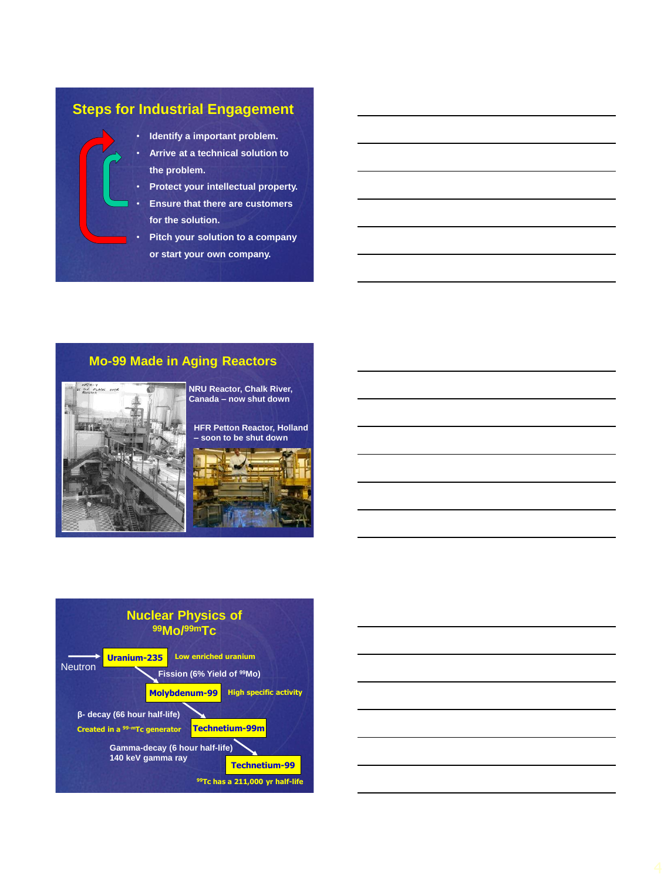# **Steps for Industrial Engagement**

- **Identify a important problem.**
- **Arrive at a technical solution to the problem.**
- **Protect your intellectual property.**
- **Ensure that there are customers for the solution.**
- **Pitch your solution to a company or start your own company.**

## **Mo-99 Made in Aging Reactors**



**NRU Reactor, Chalk River, Canada – now shut down**

**HFR Petton Reactor, Holland – soon to be shut down**





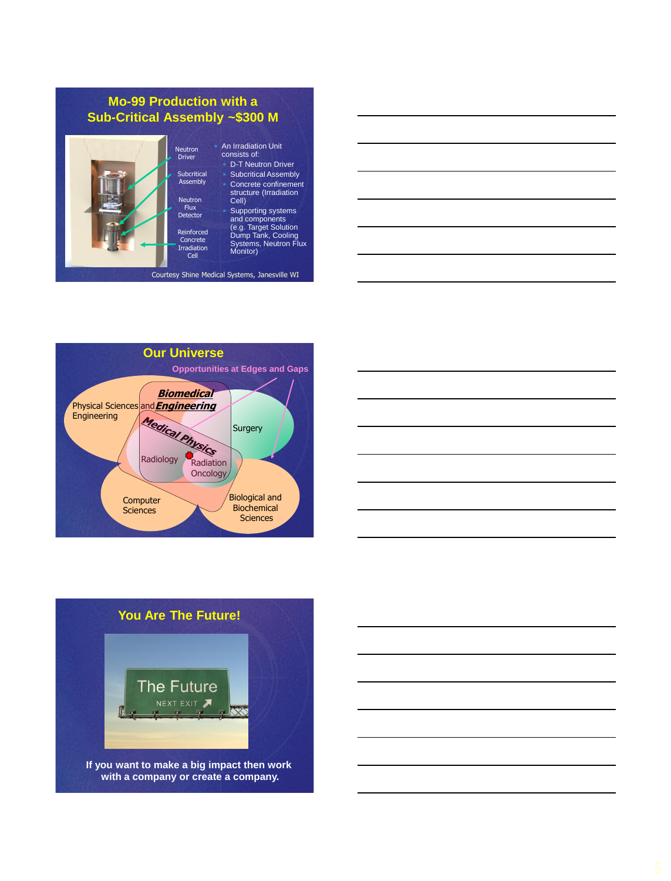#### **Mo-99 Production with a Sub-Critical Assembly ~\$300 M**



#### An Irradiation Unit consists of:

 D-T Neutron Driver Subcritical Assembly Concrete confinement structure (Irradiation Cell) Supporting systems and components (e.g. Target Solution Dump Tank, Cooling Systems, Neutron Flux Monitor)

#### Courtesy Shine Medical Systems, Janesville WI









**with a company or create a company.**